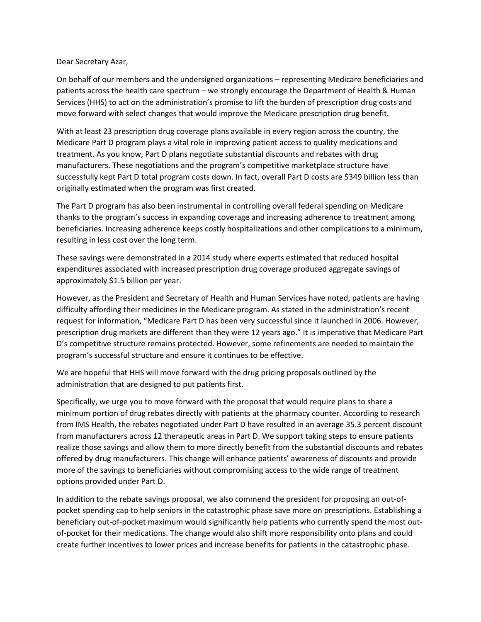Dear Secretary Azar,

On behalf of our members and the undersigned organizations – representing Medicare beneficiaries and patients across the health care spectrum – we strongly encourage the Department of Health & Human Services (HHS) to act on the administration's promise to lift the burden of prescription drug costs and move forward with select changes that would improve the Medicare prescription drug benefit.

With at least 23 prescription drug coverage plans available in every region across the country, the Medicare Part D program plays a vital role in improving patient access to quality medications and treatment. As you know, Part D plans negotiate substantial discounts and rebates with drug manufacturers. These negotiations and the program's competitive marketplace structure have successfully kept Part D total program costs down. In fact, overall Part D costs are \$349 billion less than originally estimated when the program was first created.

The Part D program has also been instrumental in controlling overall federal spending on Medicare thanks to the program's success in expanding coverage and increasing adherence to treatment among beneficiaries. Increasing adherence keeps costly hospitalizations and other complications to a minimum, resulting in less cost over the long term.

These savings were demonstrated in a 2014 study where experts estimated that reduced hospital expenditures associated with increased prescription drug coverage produced aggregate savings of approximately \$1.5 billion per year.

However, as the President and Secretary of Health and Human Services have noted, patients are having difficulty affording their medicines in the Medicare program. As stated in the administration's recent request for information, "Medicare Part D has been very successful since it launched in 2006. However, prescription drug markets are different than they were 12 years ago." It is imperative that Medicare Part D's competitive structure remains protected. However, some refinements are needed to maintain the program's successful structure and ensure it continues to be effective.

We are hopeful that HHS will move forward with the drug pricing proposals outlined by the administration that are designed to put patients first.

Specifically, we urge you to move forward with the proposal that would require plans to share a minimum portion of drug rebates directly with patients at the pharmacy counter. According to research from IMS Health, the rebates negotiated under Part D have resulted in an average 35.3 percent discount from manufacturers across 12 therapeutic areas in Part D. We support taking steps to ensure patients realize those savings and allow them to more directly benefit from the substantial discounts and rebates offered by drug manufacturers. This change will enhance patients' awareness of discounts and provide more of the savings to beneficiaries without compromising access to the wide range of treatment options provided under Part D.

In addition to the rebate savings proposal, we also commend the president for proposing an out-ofpocket spending cap to help seniors in the catastrophic phase save more on prescriptions. Establishing a beneficiary out-of-pocket maximum would significantly help patients who currently spend the most outof-pocket for their medications. The change would also shift more responsibility onto plans and could create further incentives to lower prices and increase benefits for patients in the catastrophic phase.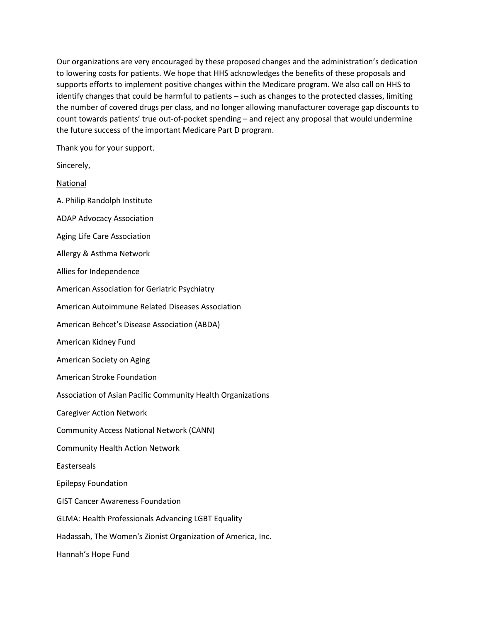Our organizations are very encouraged by these proposed changes and the administration's dedication to lowering costs for patients. We hope that HHS acknowledges the benefits of these proposals and supports efforts to implement positive changes within the Medicare program. We also call on HHS to identify changes that could be harmful to patients – such as changes to the protected classes, limiting the number of covered drugs per class, and no longer allowing manufacturer coverage gap discounts to count towards patients' true out-of-pocket spending – and reject any proposal that would undermine the future success of the important Medicare Part D program.

Thank you for your support.

| Sincerely,                                                  |
|-------------------------------------------------------------|
| National                                                    |
| A. Philip Randolph Institute                                |
| <b>ADAP Advocacy Association</b>                            |
| Aging Life Care Association                                 |
| Allergy & Asthma Network                                    |
| Allies for Independence                                     |
| American Association for Geriatric Psychiatry               |
| American Autoimmune Related Diseases Association            |
| American Behcet's Disease Association (ABDA)                |
| American Kidney Fund                                        |
| American Society on Aging                                   |
| American Stroke Foundation                                  |
| Association of Asian Pacific Community Health Organizations |
| <b>Caregiver Action Network</b>                             |
| <b>Community Access National Network (CANN)</b>             |
| <b>Community Health Action Network</b>                      |
| Easterseals                                                 |
| <b>Epilepsy Foundation</b>                                  |
| <b>GIST Cancer Awareness Foundation</b>                     |
| <b>GLMA: Health Professionals Advancing LGBT Equality</b>   |
| Hadassah, The Women's Zionist Organization of America, Inc. |
| Hannah's Hope Fund                                          |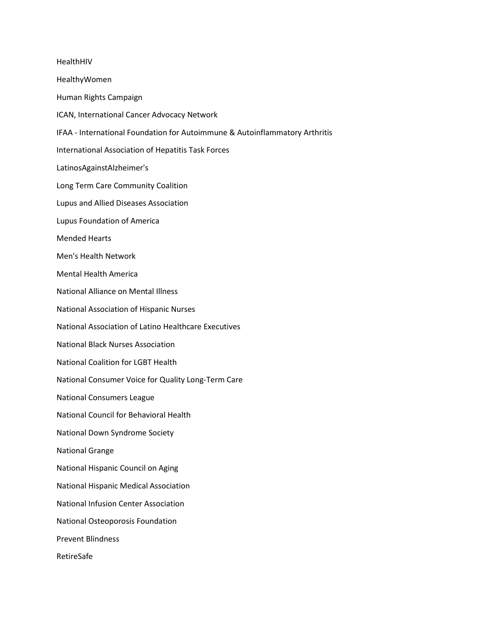HealthHIV HealthyWomen Human Rights Campaign ICAN, International Cancer Advocacy Network IFAA - International Foundation for Autoimmune & Autoinflammatory Arthritis International Association of Hepatitis Task Forces LatinosAgainstAlzheimer's Long Term Care Community Coalition Lupus and Allied Diseases Association Lupus Foundation of America Mended Hearts Men's Health Network Mental Health America National Alliance on Mental Illness National Association of Hispanic Nurses National Association of Latino Healthcare Executives National Black Nurses Association National Coalition for LGBT Health National Consumer Voice for Quality Long-Term Care National Consumers League National Council for Behavioral Health National Down Syndrome Society National Grange National Hispanic Council on Aging National Hispanic Medical Association National Infusion Center Association National Osteoporosis Foundation Prevent Blindness RetireSafe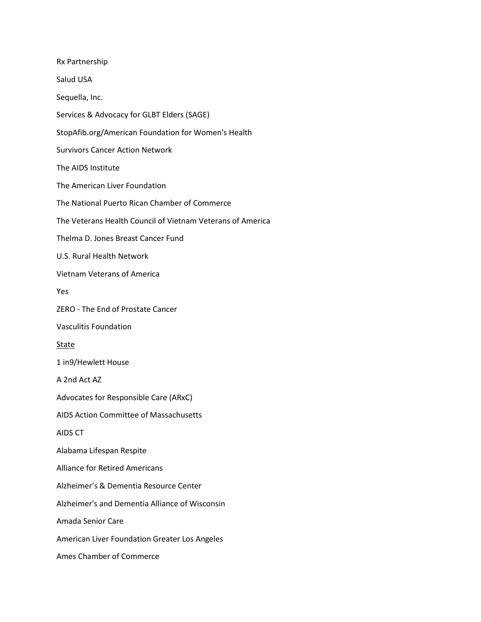Rx Partnership Salud USA Sequella, Inc. Services & Advocacy for GLBT Elders (SAGE) StopAfib.org/American Foundation for Women's Health Survivors Cancer Action Network The AIDS Institute The American Liver Foundation The National Puerto Rican Chamber of Commerce The Veterans Health Council of Vietnam Veterans of America Thelma D. Jones Breast Cancer Fund U.S. Rural Health Network Vietnam Veterans of America Yes ZERO - The End of Prostate Cancer Vasculitis Foundation **State** 1 in9/Hewlett House A 2nd Act AZ Advocates for Responsible Care (ARxC) AIDS Action Committee of Massachusetts AIDS CT Alabama Lifespan Respite Alliance for Retired Americans Alzheimer's & Dementia Resource Center Alzheimer's and Dementia Alliance of Wisconsin Amada Senior Care American Liver Foundation Greater Los Angeles Ames Chamber of Commerce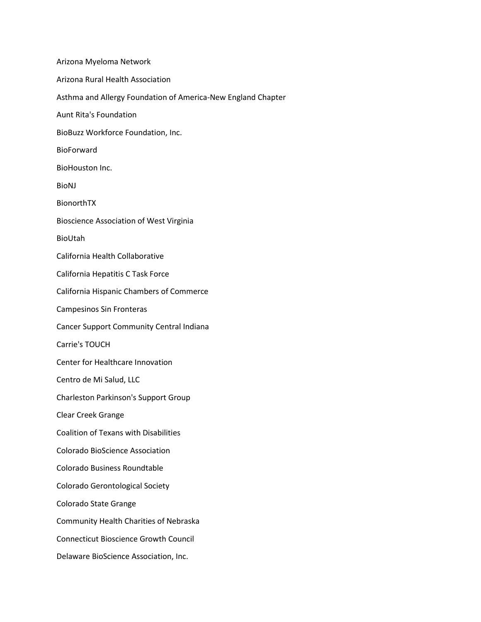Arizona Myeloma Network Arizona Rural Health Association Asthma and Allergy Foundation of America-New England Chapter Aunt Rita's Foundation BioBuzz Workforce Foundation, Inc. BioForward BioHouston Inc. BioNJ BionorthTX Bioscience Association of West Virginia BioUtah California Health Collaborative California Hepatitis C Task Force California Hispanic Chambers of Commerce Campesinos Sin Fronteras Cancer Support Community Central Indiana Carrie's TOUCH Center for Healthcare Innovation Centro de Mi Salud, LLC Charleston Parkinson's Support Group Clear Creek Grange Coalition of Texans with Disabilities Colorado BioScience Association Colorado Business Roundtable Colorado Gerontological Society Colorado State Grange Community Health Charities of Nebraska Connecticut Bioscience Growth Council Delaware BioScience Association, Inc.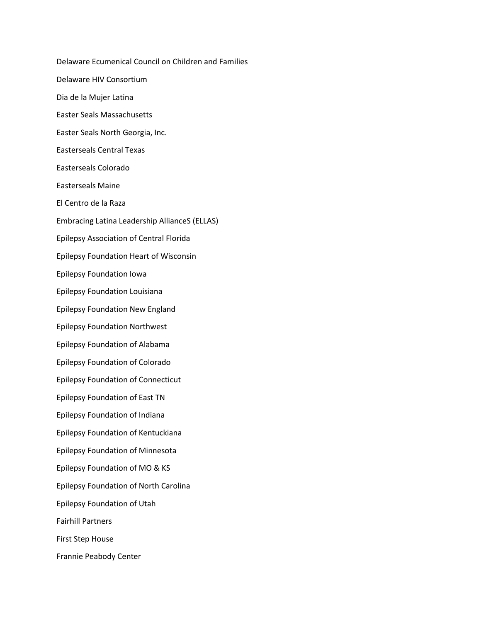Delaware Ecumenical Council on Children and Families Delaware HIV Consortium Dia de la Mujer Latina Easter Seals Massachusetts Easter Seals North Georgia, Inc. Easterseals Central Texas Easterseals Colorado Easterseals Maine El Centro de la Raza Embracing Latina Leadership AllianceS (ELLAS) Epilepsy Association of Central Florida Epilepsy Foundation Heart of Wisconsin Epilepsy Foundation Iowa Epilepsy Foundation Louisiana Epilepsy Foundation New England Epilepsy Foundation Northwest Epilepsy Foundation of Alabama Epilepsy Foundation of Colorado Epilepsy Foundation of Connecticut Epilepsy Foundation of East TN Epilepsy Foundation of Indiana Epilepsy Foundation of Kentuckiana Epilepsy Foundation of Minnesota Epilepsy Foundation of MO & KS Epilepsy Foundation of North Carolina Epilepsy Foundation of Utah Fairhill Partners First Step House Frannie Peabody Center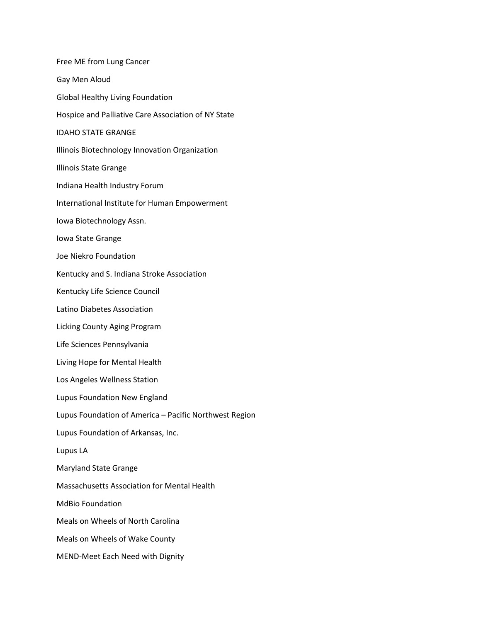| Free ME from Lung Cancer                               |
|--------------------------------------------------------|
| Gay Men Aloud                                          |
| <b>Global Healthy Living Foundation</b>                |
| Hospice and Palliative Care Association of NY State    |
| <b>IDAHO STATE GRANGE</b>                              |
| Illinois Biotechnology Innovation Organization         |
| <b>Illinois State Grange</b>                           |
| Indiana Health Industry Forum                          |
| International Institute for Human Empowerment          |
| Iowa Biotechnology Assn.                               |
| Iowa State Grange                                      |
| Joe Niekro Foundation                                  |
| Kentucky and S. Indiana Stroke Association             |
| Kentucky Life Science Council                          |
| Latino Diabetes Association                            |
| Licking County Aging Program                           |
| Life Sciences Pennsylvania                             |
| Living Hope for Mental Health                          |
| Los Angeles Wellness Station                           |
| Lupus Foundation New England                           |
| Lupus Foundation of America - Pacific Northwest Region |
| Lupus Foundation of Arkansas, Inc.                     |
| Lupus LA                                               |
| <b>Maryland State Grange</b>                           |
| Massachusetts Association for Mental Health            |
| MdBio Foundation                                       |
| Meals on Wheels of North Carolina                      |
| Meals on Wheels of Wake County                         |
| MEND-Meet Each Need with Dignity                       |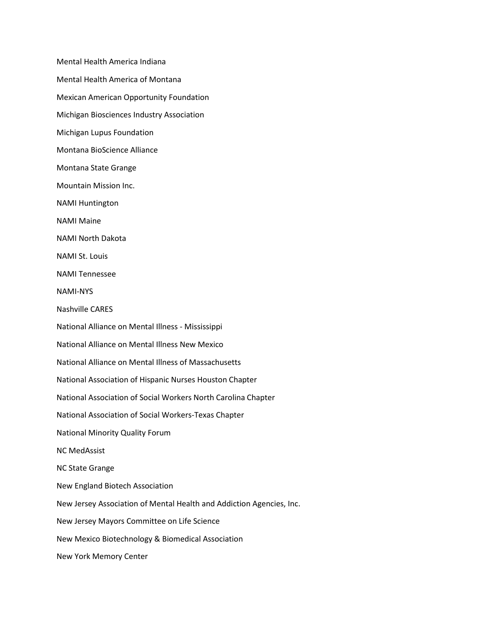Mental Health America Indiana Mental Health America of Montana Mexican American Opportunity Foundation Michigan Biosciences Industry Association Michigan Lupus Foundation Montana BioScience Alliance Montana State Grange Mountain Mission Inc. NAMI Huntington NAMI Maine NAMI North Dakota NAMI St. Louis NAMI Tennessee NAMI-NYS Nashville CARES National Alliance on Mental Illness - Mississippi National Alliance on Mental Illness New Mexico National Alliance on Mental Illness of Massachusetts National Association of Hispanic Nurses Houston Chapter National Association of Social Workers North Carolina Chapter National Association of Social Workers-Texas Chapter National Minority Quality Forum NC MedAssist NC State Grange New England Biotech Association New Jersey Association of Mental Health and Addiction Agencies, Inc. New Jersey Mayors Committee on Life Science New Mexico Biotechnology & Biomedical Association New York Memory Center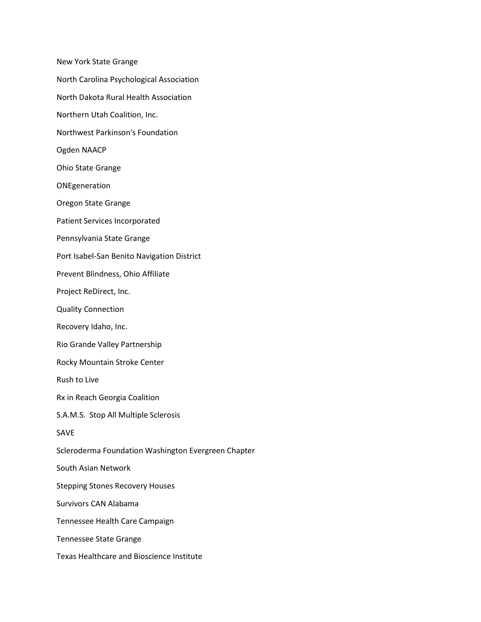New York State Grange North Carolina Psychological Association North Dakota Rural Health Association Northern Utah Coalition, Inc. Northwest Parkinson's Foundation Ogden NAACP Ohio State Grange ONEgeneration Oregon State Grange Patient Services Incorporated Pennsylvania State Grange Port Isabel-San Benito Navigation District Prevent Blindness, Ohio Affiliate Project ReDirect, Inc. Quality Connection Recovery Idaho, Inc. Rio Grande Valley Partnership Rocky Mountain Stroke Center Rush to Live Rx in Reach Georgia Coalition S.A.M.S. Stop All Multiple Sclerosis SAVE Scleroderma Foundation Washington Evergreen Chapter South Asian Network Stepping Stones Recovery Houses Survivors CAN Alabama Tennessee Health Care Campaign Tennessee State Grange Texas Healthcare and Bioscience Institute